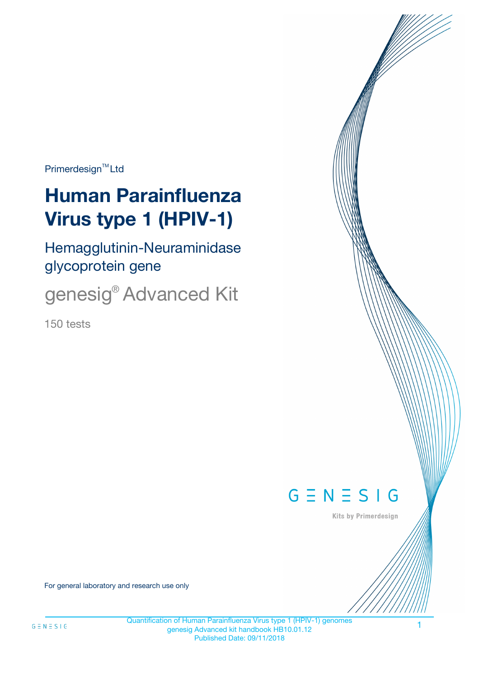Primerdesign<sup>™</sup>Ltd

# **Human Parainfluenza Virus type 1 (HPIV-1)**

Hemagglutinin-Neuraminidase glycoprotein gene

genesig® Advanced Kit

150 tests



Kits by Primerdesign

For general laboratory and research use only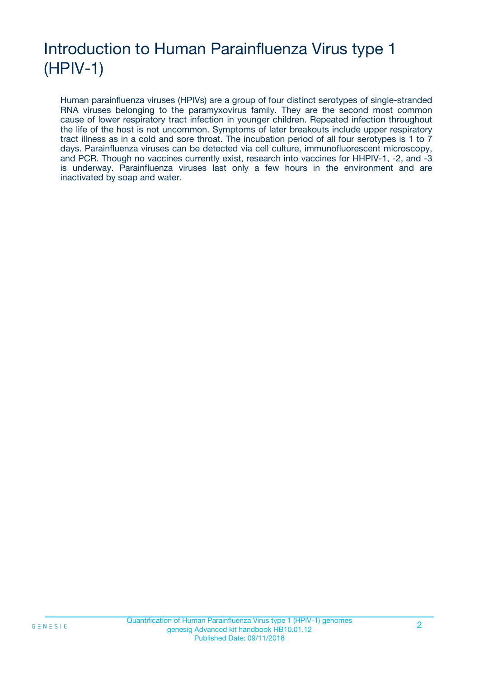# Introduction to Human Parainfluenza Virus type 1 (HPIV-1)

Human parainfluenza viruses (HPIVs) are a group of four distinct serotypes of single-stranded RNA viruses belonging to the paramyxovirus family. They are the second most common cause of lower respiratory tract infection in younger children. Repeated infection throughout the life of the host is not uncommon. Symptoms of later breakouts include upper respiratory tract illness as in a cold and sore throat. The incubation period of all four serotypes is 1 to 7 days. Parainfluenza viruses can be detected via cell culture, immunofluorescent microscopy, and PCR. Though no vaccines currently exist, research into vaccines for HHPIV-1, -2, and -3 is underway. Parainfluenza viruses last only a few hours in the environment and are inactivated by soap and water.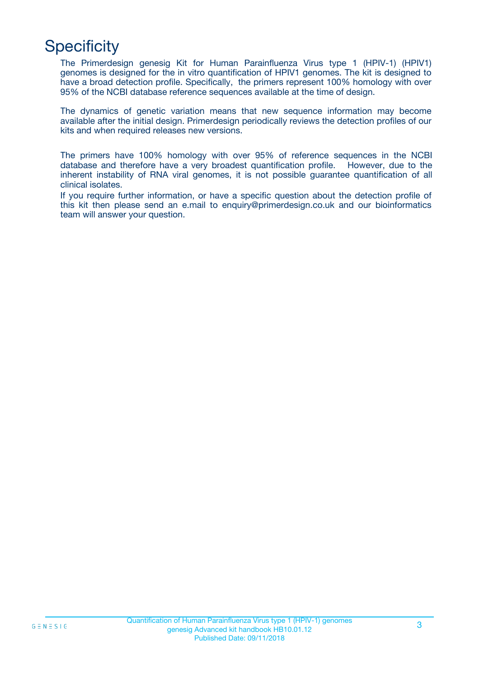# **Specificity**

The Primerdesign genesig Kit for Human Parainfluenza Virus type 1 (HPIV-1) (HPIV1) genomes is designed for the in vitro quantification of HPIV1 genomes. The kit is designed to have a broad detection profile. Specifically, the primers represent 100% homology with over 95% of the NCBI database reference sequences available at the time of design.

The dynamics of genetic variation means that new sequence information may become available after the initial design. Primerdesign periodically reviews the detection profiles of our kits and when required releases new versions.

The primers have 100% homology with over 95% of reference sequences in the NCBI database and therefore have a very broadest quantification profile. However, due to the inherent instability of RNA viral genomes, it is not possible guarantee quantification of all clinical isolates.

If you require further information, or have a specific question about the detection profile of this kit then please send an e.mail to enquiry@primerdesign.co.uk and our bioinformatics team will answer your question.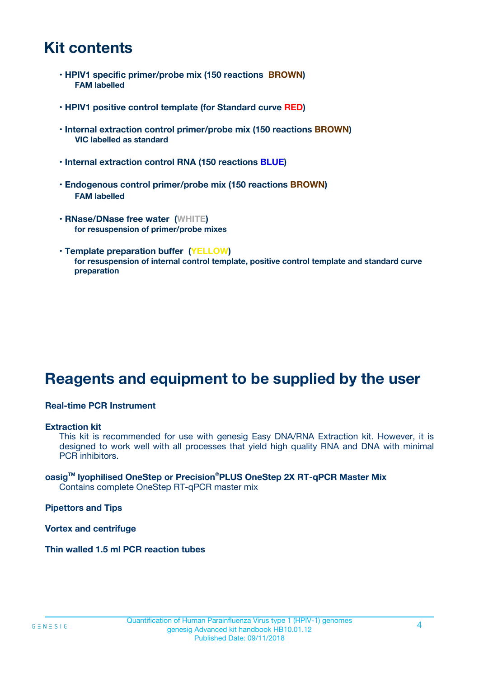# **Kit contents**

- **HPIV1 specific primer/probe mix (150 reactions BROWN) FAM labelled**
- **HPIV1 positive control template (for Standard curve RED)**
- **Internal extraction control primer/probe mix (150 reactions BROWN) VIC labelled as standard**
- **Internal extraction control RNA (150 reactions BLUE)**
- **Endogenous control primer/probe mix (150 reactions BROWN) FAM labelled**
- **RNase/DNase free water (WHITE) for resuspension of primer/probe mixes**
- **Template preparation buffer (YELLOW) for resuspension of internal control template, positive control template and standard curve preparation**

# **Reagents and equipment to be supplied by the user**

#### **Real-time PCR Instrument**

#### **Extraction kit**

This kit is recommended for use with genesig Easy DNA/RNA Extraction kit. However, it is designed to work well with all processes that yield high quality RNA and DNA with minimal PCR inhibitors.

#### **oasigTM lyophilised OneStep or Precision**®**PLUS OneStep 2X RT-qPCR Master Mix** Contains complete OneStep RT-qPCR master mix

**Pipettors and Tips**

**Vortex and centrifuge**

**Thin walled 1.5 ml PCR reaction tubes**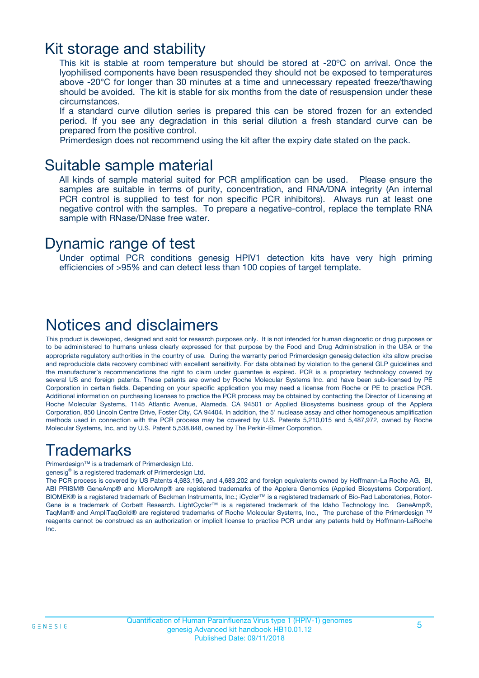## Kit storage and stability

This kit is stable at room temperature but should be stored at -20ºC on arrival. Once the lyophilised components have been resuspended they should not be exposed to temperatures above -20°C for longer than 30 minutes at a time and unnecessary repeated freeze/thawing should be avoided. The kit is stable for six months from the date of resuspension under these circumstances.

If a standard curve dilution series is prepared this can be stored frozen for an extended period. If you see any degradation in this serial dilution a fresh standard curve can be prepared from the positive control.

Primerdesign does not recommend using the kit after the expiry date stated on the pack.

### Suitable sample material

All kinds of sample material suited for PCR amplification can be used. Please ensure the samples are suitable in terms of purity, concentration, and RNA/DNA integrity (An internal PCR control is supplied to test for non specific PCR inhibitors). Always run at least one negative control with the samples. To prepare a negative-control, replace the template RNA sample with RNase/DNase free water.

### Dynamic range of test

Under optimal PCR conditions genesig HPIV1 detection kits have very high priming efficiencies of >95% and can detect less than 100 copies of target template.

## Notices and disclaimers

This product is developed, designed and sold for research purposes only. It is not intended for human diagnostic or drug purposes or to be administered to humans unless clearly expressed for that purpose by the Food and Drug Administration in the USA or the appropriate regulatory authorities in the country of use. During the warranty period Primerdesign genesig detection kits allow precise and reproducible data recovery combined with excellent sensitivity. For data obtained by violation to the general GLP guidelines and the manufacturer's recommendations the right to claim under guarantee is expired. PCR is a proprietary technology covered by several US and foreign patents. These patents are owned by Roche Molecular Systems Inc. and have been sub-licensed by PE Corporation in certain fields. Depending on your specific application you may need a license from Roche or PE to practice PCR. Additional information on purchasing licenses to practice the PCR process may be obtained by contacting the Director of Licensing at Roche Molecular Systems, 1145 Atlantic Avenue, Alameda, CA 94501 or Applied Biosystems business group of the Applera Corporation, 850 Lincoln Centre Drive, Foster City, CA 94404. In addition, the 5' nuclease assay and other homogeneous amplification methods used in connection with the PCR process may be covered by U.S. Patents 5,210,015 and 5,487,972, owned by Roche Molecular Systems, Inc, and by U.S. Patent 5,538,848, owned by The Perkin-Elmer Corporation.

# Trademarks

Primerdesign™ is a trademark of Primerdesign Ltd.

genesig® is a registered trademark of Primerdesign Ltd.

The PCR process is covered by US Patents 4,683,195, and 4,683,202 and foreign equivalents owned by Hoffmann-La Roche AG. BI, ABI PRISM® GeneAmp® and MicroAmp® are registered trademarks of the Applera Genomics (Applied Biosystems Corporation). BIOMEK® is a registered trademark of Beckman Instruments, Inc.; iCycler™ is a registered trademark of Bio-Rad Laboratories, Rotor-Gene is a trademark of Corbett Research. LightCycler™ is a registered trademark of the Idaho Technology Inc. GeneAmp®, TaqMan® and AmpliTaqGold® are registered trademarks of Roche Molecular Systems, Inc., The purchase of the Primerdesign ™ reagents cannot be construed as an authorization or implicit license to practice PCR under any patents held by Hoffmann-LaRoche Inc.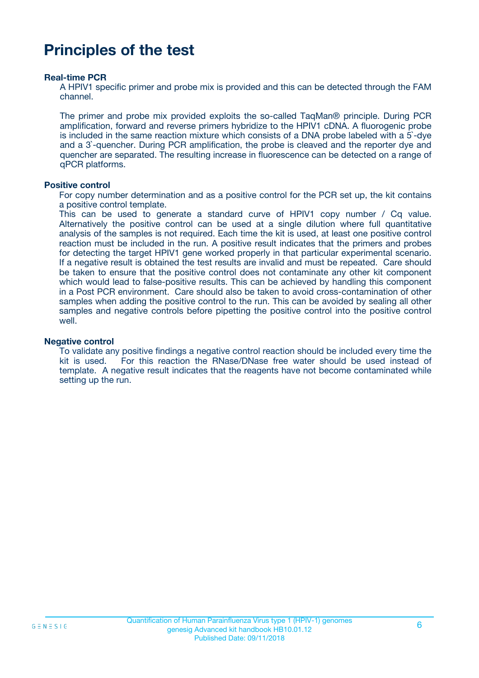# **Principles of the test**

#### **Real-time PCR**

A HPIV1 specific primer and probe mix is provided and this can be detected through the FAM channel.

The primer and probe mix provided exploits the so-called TaqMan® principle. During PCR amplification, forward and reverse primers hybridize to the HPIV1 cDNA. A fluorogenic probe is included in the same reaction mixture which consists of a DNA probe labeled with a 5`-dye and a 3`-quencher. During PCR amplification, the probe is cleaved and the reporter dye and quencher are separated. The resulting increase in fluorescence can be detected on a range of qPCR platforms.

#### **Positive control**

For copy number determination and as a positive control for the PCR set up, the kit contains a positive control template.

This can be used to generate a standard curve of HPIV1 copy number / Cq value. Alternatively the positive control can be used at a single dilution where full quantitative analysis of the samples is not required. Each time the kit is used, at least one positive control reaction must be included in the run. A positive result indicates that the primers and probes for detecting the target HPIV1 gene worked properly in that particular experimental scenario. If a negative result is obtained the test results are invalid and must be repeated. Care should be taken to ensure that the positive control does not contaminate any other kit component which would lead to false-positive results. This can be achieved by handling this component in a Post PCR environment. Care should also be taken to avoid cross-contamination of other samples when adding the positive control to the run. This can be avoided by sealing all other samples and negative controls before pipetting the positive control into the positive control well.

#### **Negative control**

To validate any positive findings a negative control reaction should be included every time the kit is used. For this reaction the RNase/DNase free water should be used instead of template. A negative result indicates that the reagents have not become contaminated while setting up the run.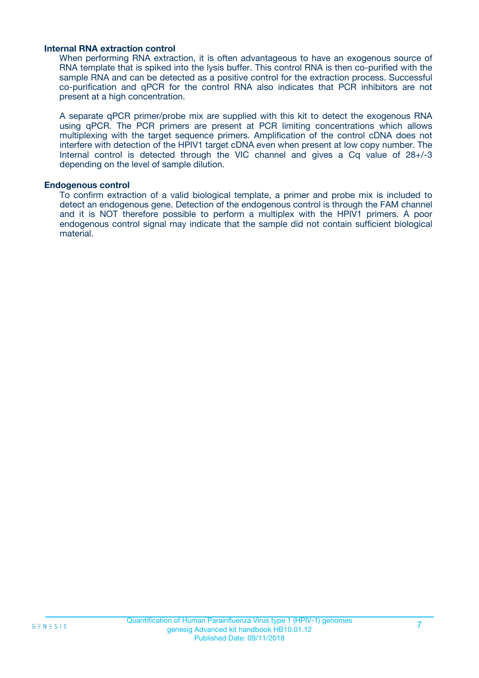#### **Internal RNA extraction control**

When performing RNA extraction, it is often advantageous to have an exogenous source of RNA template that is spiked into the lysis buffer. This control RNA is then co-purified with the sample RNA and can be detected as a positive control for the extraction process. Successful co-purification and qPCR for the control RNA also indicates that PCR inhibitors are not present at a high concentration.

A separate qPCR primer/probe mix are supplied with this kit to detect the exogenous RNA using qPCR. The PCR primers are present at PCR limiting concentrations which allows multiplexing with the target sequence primers. Amplification of the control cDNA does not interfere with detection of the HPIV1 target cDNA even when present at low copy number. The Internal control is detected through the VIC channel and gives a Cq value of 28+/-3 depending on the level of sample dilution.

#### **Endogenous control**

To confirm extraction of a valid biological template, a primer and probe mix is included to detect an endogenous gene. Detection of the endogenous control is through the FAM channel and it is NOT therefore possible to perform a multiplex with the HPIV1 primers. A poor endogenous control signal may indicate that the sample did not contain sufficient biological material.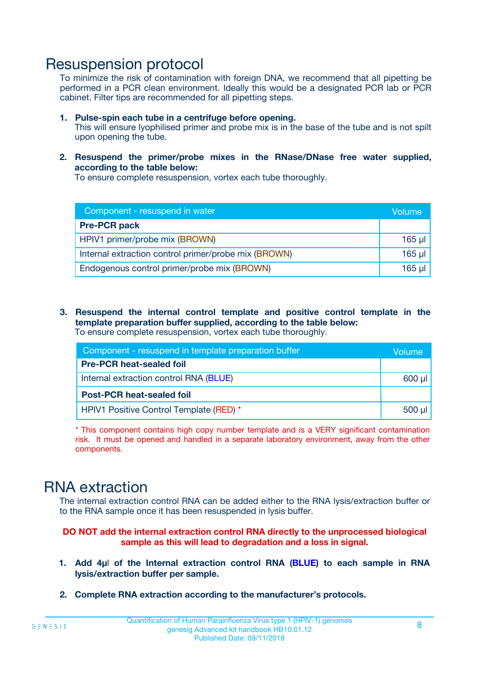## Resuspension protocol

To minimize the risk of contamination with foreign DNA, we recommend that all pipetting be performed in a PCR clean environment. Ideally this would be a designated PCR lab or PCR cabinet. Filter tips are recommended for all pipetting steps.

- **1. Pulse-spin each tube in a centrifuge before opening.** This will ensure lyophilised primer and probe mix is in the base of the tube and is not spilt upon opening the tube.
- **2. Resuspend the primer/probe mixes in the RNase/DNase free water supplied, according to the table below:**

To ensure complete resuspension, vortex each tube thoroughly.

| Component - resuspend in water                       |          |  |
|------------------------------------------------------|----------|--|
| <b>Pre-PCR pack</b>                                  |          |  |
| HPIV1 primer/probe mix (BROWN)                       | $165$ µl |  |
| Internal extraction control primer/probe mix (BROWN) | $165$ µl |  |
| Endogenous control primer/probe mix (BROWN)          | 165 µl   |  |

**3. Resuspend the internal control template and positive control template in the template preparation buffer supplied, according to the table below:** To ensure complete resuspension, vortex each tube thoroughly.

| Component - resuspend in template preparation buffer |          |  |  |
|------------------------------------------------------|----------|--|--|
| <b>Pre-PCR heat-sealed foil</b>                      |          |  |  |
| Internal extraction control RNA (BLUE)               |          |  |  |
| <b>Post-PCR heat-sealed foil</b>                     |          |  |  |
| HPIV1 Positive Control Template (RED) *              | $500$ µl |  |  |

\* This component contains high copy number template and is a VERY significant contamination risk. It must be opened and handled in a separate laboratory environment, away from the other components.

# RNA extraction

The internal extraction control RNA can be added either to the RNA lysis/extraction buffer or to the RNA sample once it has been resuspended in lysis buffer.

**DO NOT add the internal extraction control RNA directly to the unprocessed biological sample as this will lead to degradation and a loss in signal.**

- **1. Add 4µ**l **of the Internal extraction control RNA (BLUE) to each sample in RNA lysis/extraction buffer per sample.**
- **2. Complete RNA extraction according to the manufacturer's protocols.**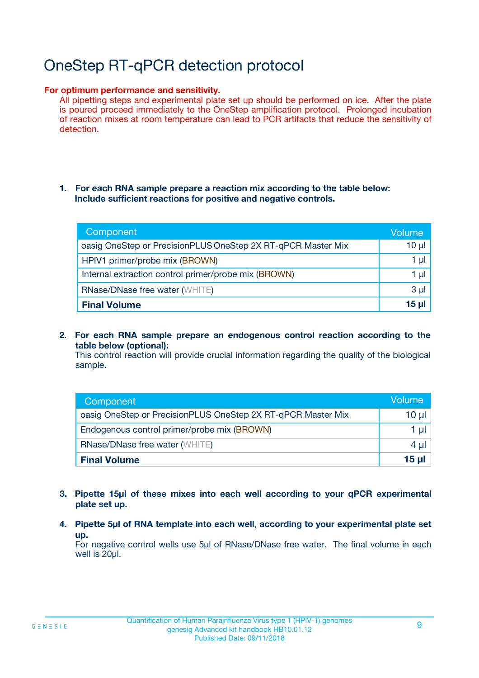# OneStep RT-qPCR detection protocol

#### **For optimum performance and sensitivity.**

All pipetting steps and experimental plate set up should be performed on ice. After the plate is poured proceed immediately to the OneStep amplification protocol. Prolonged incubation of reaction mixes at room temperature can lead to PCR artifacts that reduce the sensitivity of detection.

#### **1. For each RNA sample prepare a reaction mix according to the table below: Include sufficient reactions for positive and negative controls.**

| Component                                                    | <b>Volume</b> |
|--------------------------------------------------------------|---------------|
| oasig OneStep or PrecisionPLUS OneStep 2X RT-qPCR Master Mix | $10 \mu$      |
| HPIV1 primer/probe mix (BROWN)                               | 1 µI          |
| Internal extraction control primer/probe mix (BROWN)         | 1 µI          |
| <b>RNase/DNase free water (WHITE)</b>                        | $3 \mu$       |
| <b>Final Volume</b>                                          | 15 µl         |

**2. For each RNA sample prepare an endogenous control reaction according to the table below (optional):**

This control reaction will provide crucial information regarding the quality of the biological sample.

| Component                                                    | Volume          |
|--------------------------------------------------------------|-----------------|
| oasig OneStep or PrecisionPLUS OneStep 2X RT-qPCR Master Mix | 10 µl           |
| Endogenous control primer/probe mix (BROWN)                  | 1 µl            |
| <b>RNase/DNase free water (WHITE)</b>                        | $4 \mu$         |
| <b>Final Volume</b>                                          | $15$ µl $\vert$ |

- **3. Pipette 15µl of these mixes into each well according to your qPCR experimental plate set up.**
- **4. Pipette 5µl of RNA template into each well, according to your experimental plate set up.**

For negative control wells use 5µl of RNase/DNase free water. The final volume in each well is 20µl.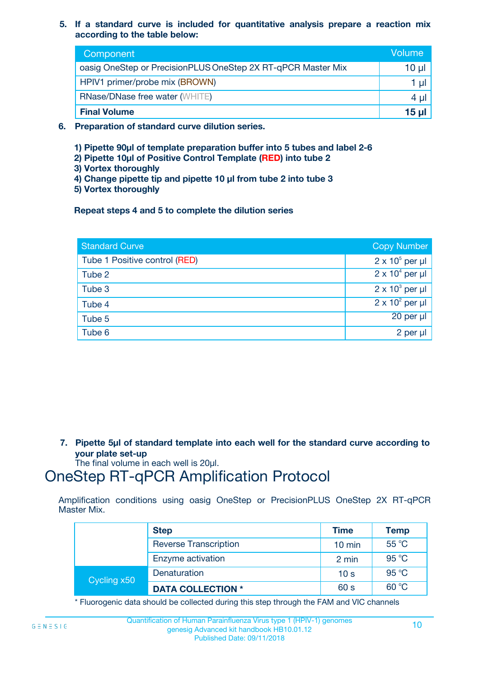**5. If a standard curve is included for quantitative analysis prepare a reaction mix according to the table below:**

| Component                                                    | Volume       |
|--------------------------------------------------------------|--------------|
| oasig OneStep or PrecisionPLUS OneStep 2X RT-qPCR Master Mix | 10 µl        |
| HPIV1 primer/probe mix (BROWN)                               |              |
| <b>RNase/DNase free water (WHITE)</b>                        | 4 µl         |
| <b>Final Volume</b>                                          | <u>15 µl</u> |

- **6. Preparation of standard curve dilution series.**
	- **1) Pipette 90µl of template preparation buffer into 5 tubes and label 2-6**
	- **2) Pipette 10µl of Positive Control Template (RED) into tube 2**
	- **3) Vortex thoroughly**
	- **4) Change pipette tip and pipette 10 µl from tube 2 into tube 3**
	- **5) Vortex thoroughly**

**Repeat steps 4 and 5 to complete the dilution series**

| <b>Standard Curve</b>         | <b>Copy Number</b>     |
|-------------------------------|------------------------|
| Tube 1 Positive control (RED) | $2 \times 10^5$ per µl |
| Tube 2                        | $2 \times 10^4$ per µl |
| Tube 3                        | $2 \times 10^3$ per µl |
| Tube 4                        | $2 \times 10^2$ per µl |
| Tube 5                        | 20 per µl              |
| Tube 6                        | 2 per µl               |

**7. Pipette 5µl of standard template into each well for the standard curve according to your plate set-up**

The final volume in each well is 20µl.

# OneStep RT-qPCR Amplification Protocol

Amplification conditions using oasig OneStep or PrecisionPLUS OneStep 2X RT-qPCR Master Mix.

|             | <b>Step</b>                  | <b>Time</b>      | <b>Temp</b> |
|-------------|------------------------------|------------------|-------------|
|             | <b>Reverse Transcription</b> | $10 \text{ min}$ | 55 °C       |
|             | Enzyme activation            | 2 min            | 95 °C       |
| Cycling x50 | Denaturation                 | 10 <sub>s</sub>  | 95 °C       |
|             | <b>DATA COLLECTION *</b>     | 60 s             | 60 °C       |

\* Fluorogenic data should be collected during this step through the FAM and VIC channels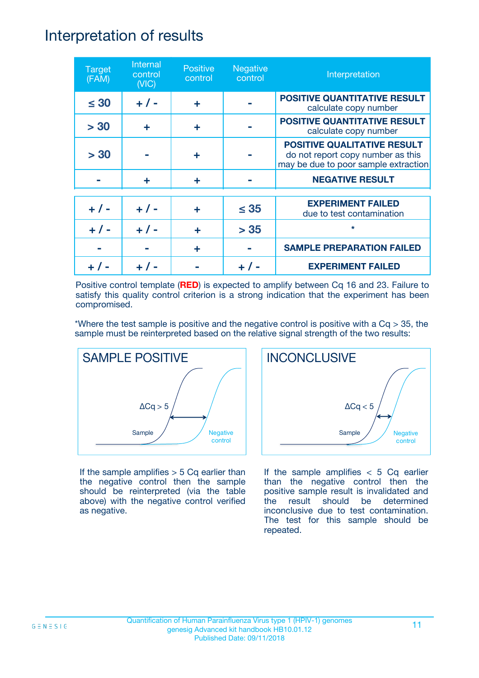## Interpretation of results

| <b>Target</b><br>(FAM) | Internal<br>control<br>(NIC) | <b>Positive</b><br>control | <b>Negative</b><br>control | Interpretation                                                                                                  |
|------------------------|------------------------------|----------------------------|----------------------------|-----------------------------------------------------------------------------------------------------------------|
| $\leq 30$              | $+ 1 -$                      | ÷                          |                            | <b>POSITIVE QUANTITATIVE RESULT</b><br>calculate copy number                                                    |
| > 30                   | ÷                            | ÷                          |                            | POSITIVE QUANTITATIVE RESULT<br>calculate copy number                                                           |
| > 30                   |                              | ÷                          |                            | <b>POSITIVE QUALITATIVE RESULT</b><br>do not report copy number as this<br>may be due to poor sample extraction |
|                        | ÷                            | ÷                          |                            | <b>NEGATIVE RESULT</b>                                                                                          |
| $+ 1 -$                | $+ 1 -$                      | ÷                          | $\leq$ 35                  | <b>EXPERIMENT FAILED</b><br>due to test contamination                                                           |
| $+$ /                  | $+ 1 -$                      | ÷                          | > 35                       | $\star$                                                                                                         |
|                        |                              | ÷                          |                            | <b>SAMPLE PREPARATION FAILED</b>                                                                                |
|                        |                              |                            |                            | <b>EXPERIMENT FAILED</b>                                                                                        |

Positive control template (**RED**) is expected to amplify between Cq 16 and 23. Failure to satisfy this quality control criterion is a strong indication that the experiment has been compromised.

\*Where the test sample is positive and the negative control is positive with a  $Cq > 35$ , the sample must be reinterpreted based on the relative signal strength of the two results:



If the sample amplifies  $> 5$  Cq earlier than the negative control then the sample should be reinterpreted (via the table above) with the negative control verified as negative.



If the sample amplifies  $< 5$  Cq earlier than the negative control then the positive sample result is invalidated and the result should be determined inconclusive due to test contamination. The test for this sample should be repeated.